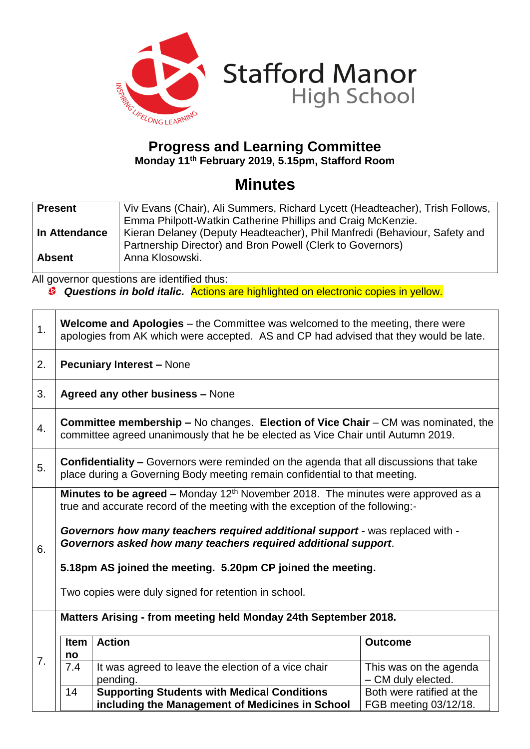

### **Progress and Learning Committee Monday 11th February 2019, 5.15pm, Stafford Room**

# **Minutes**

| <b>Present</b> | Viv Evans (Chair), Ali Summers, Richard Lycett (Headteacher), Trish Follows, |  |
|----------------|------------------------------------------------------------------------------|--|
|                | Emma Philpott-Watkin Catherine Phillips and Craig McKenzie.                  |  |
| In Attendance  | Kieran Delaney (Deputy Headteacher), Phil Manfredi (Behaviour, Safety and    |  |
|                | Partnership Director) and Bron Powell (Clerk to Governors)                   |  |
| <b>Absent</b>  | Anna Klosowski.                                                              |  |
|                |                                                                              |  |

All governor questions are identified thus:

 $\mathbf{r}$ 

*Questions in bold italic.* Actions are highlighted on electronic copies in yellow.

| 1. | <b>Welcome and Apologies</b> – the Committee was welcomed to the meeting, there were<br>apologies from AK which were accepted. AS and CP had advised that they would be late. |                                                                                                                                                                                                                                                                                                                                                                                                                                                      |                                                    |  |
|----|-------------------------------------------------------------------------------------------------------------------------------------------------------------------------------|------------------------------------------------------------------------------------------------------------------------------------------------------------------------------------------------------------------------------------------------------------------------------------------------------------------------------------------------------------------------------------------------------------------------------------------------------|----------------------------------------------------|--|
| 2. | <b>Pecuniary Interest - None</b>                                                                                                                                              |                                                                                                                                                                                                                                                                                                                                                                                                                                                      |                                                    |  |
| 3. | <b>Agreed any other business - None</b>                                                                                                                                       |                                                                                                                                                                                                                                                                                                                                                                                                                                                      |                                                    |  |
| 4. | <b>Committee membership - No changes. Election of Vice Chair</b> - CM was nominated, the<br>committee agreed unanimously that he be elected as Vice Chair until Autumn 2019.  |                                                                                                                                                                                                                                                                                                                                                                                                                                                      |                                                    |  |
| 5. | <b>Confidentiality - Governors were reminded on the agenda that all discussions that take</b><br>place during a Governing Body meeting remain confidential to that meeting.   |                                                                                                                                                                                                                                                                                                                                                                                                                                                      |                                                    |  |
| 6. |                                                                                                                                                                               | <b>Minutes to be agreed -</b> Monday $12th$ November 2018. The minutes were approved as a<br>true and accurate record of the meeting with the exception of the following:-<br>Governors how many teachers required additional support - was replaced with -<br>Governors asked how many teachers required additional support.<br>5.18pm AS joined the meeting. 5.20pm CP joined the meeting.<br>Two copies were duly signed for retention in school. |                                                    |  |
|    | Matters Arising - from meeting held Monday 24th September 2018.                                                                                                               |                                                                                                                                                                                                                                                                                                                                                                                                                                                      |                                                    |  |
|    | <b>Item</b>                                                                                                                                                                   | <b>Action</b>                                                                                                                                                                                                                                                                                                                                                                                                                                        | <b>Outcome</b>                                     |  |
| 7. | no                                                                                                                                                                            |                                                                                                                                                                                                                                                                                                                                                                                                                                                      |                                                    |  |
|    | 7.4                                                                                                                                                                           | It was agreed to leave the election of a vice chair<br>pending.                                                                                                                                                                                                                                                                                                                                                                                      | This was on the agenda<br>- CM duly elected.       |  |
|    | 14                                                                                                                                                                            | <b>Supporting Students with Medical Conditions</b><br>including the Management of Medicines in School                                                                                                                                                                                                                                                                                                                                                | Both were ratified at the<br>FGB meeting 03/12/18. |  |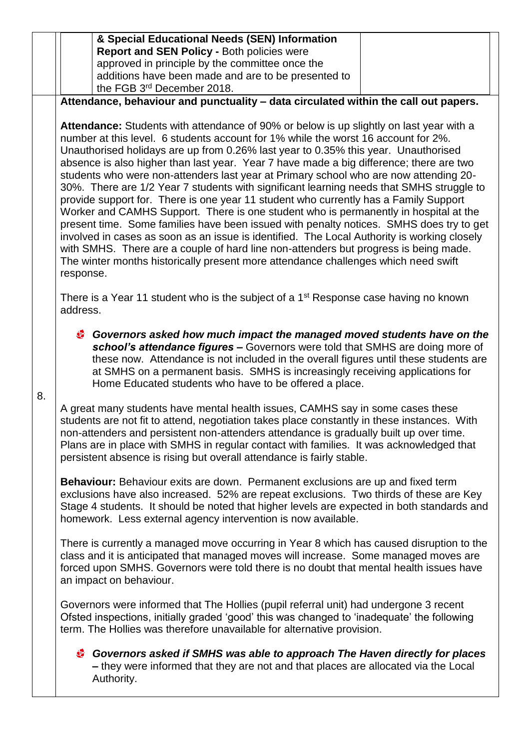|    | & Special Educational Needs (SEN) Information<br>Report and SEN Policy - Both policies were<br>approved in principle by the committee once the                                                                                                                                                                                                                                                                                                                                                                                                                                                                                                                                                                                                                                                                                                                                                                                                                                                                                                                                                                           |  |  |
|----|--------------------------------------------------------------------------------------------------------------------------------------------------------------------------------------------------------------------------------------------------------------------------------------------------------------------------------------------------------------------------------------------------------------------------------------------------------------------------------------------------------------------------------------------------------------------------------------------------------------------------------------------------------------------------------------------------------------------------------------------------------------------------------------------------------------------------------------------------------------------------------------------------------------------------------------------------------------------------------------------------------------------------------------------------------------------------------------------------------------------------|--|--|
|    | additions have been made and are to be presented to<br>the FGB 3rd December 2018.                                                                                                                                                                                                                                                                                                                                                                                                                                                                                                                                                                                                                                                                                                                                                                                                                                                                                                                                                                                                                                        |  |  |
|    | Attendance, behaviour and punctuality - data circulated within the call out papers.                                                                                                                                                                                                                                                                                                                                                                                                                                                                                                                                                                                                                                                                                                                                                                                                                                                                                                                                                                                                                                      |  |  |
| 8. | Attendance: Students with attendance of 90% or below is up slightly on last year with a<br>number at this level. 6 students account for 1% while the worst 16 account for 2%.<br>Unauthorised holidays are up from 0.26% last year to 0.35% this year. Unauthorised<br>absence is also higher than last year. Year 7 have made a big difference; there are two<br>students who were non-attenders last year at Primary school who are now attending 20-<br>30%. There are 1/2 Year 7 students with significant learning needs that SMHS struggle to<br>provide support for. There is one year 11 student who currently has a Family Support<br>Worker and CAMHS Support. There is one student who is permanently in hospital at the<br>present time. Some families have been issued with penalty notices. SMHS does try to get<br>involved in cases as soon as an issue is identified. The Local Authority is working closely<br>with SMHS. There are a couple of hard line non-attenders but progress is being made.<br>The winter months historically present more attendance challenges which need swift<br>response. |  |  |
|    | There is a Year 11 student who is the subject of a 1 <sup>st</sup> Response case having no known<br>address.                                                                                                                                                                                                                                                                                                                                                                                                                                                                                                                                                                                                                                                                                                                                                                                                                                                                                                                                                                                                             |  |  |
|    | <sup>8</sup> Governors asked how much impact the managed moved students have on the<br>school's attendance figures - Governors were told that SMHS are doing more of<br>these now. Attendance is not included in the overall figures until these students are<br>at SMHS on a permanent basis. SMHS is increasingly receiving applications for<br>Home Educated students who have to be offered a place.                                                                                                                                                                                                                                                                                                                                                                                                                                                                                                                                                                                                                                                                                                                 |  |  |
|    | A great many students have mental health issues, CAMHS say in some cases these<br>students are not fit to attend, negotiation takes place constantly in these instances. With<br>non-attenders and persistent non-attenders attendance is gradually built up over time.<br>Plans are in place with SMHS in regular contact with families. It was acknowledged that<br>persistent absence is rising but overall attendance is fairly stable.                                                                                                                                                                                                                                                                                                                                                                                                                                                                                                                                                                                                                                                                              |  |  |
|    | <b>Behaviour:</b> Behaviour exits are down. Permanent exclusions are up and fixed term<br>exclusions have also increased. 52% are repeat exclusions. Two thirds of these are Key<br>Stage 4 students. It should be noted that higher levels are expected in both standards and<br>homework. Less external agency intervention is now available.                                                                                                                                                                                                                                                                                                                                                                                                                                                                                                                                                                                                                                                                                                                                                                          |  |  |
|    | There is currently a managed move occurring in Year 8 which has caused disruption to the<br>class and it is anticipated that managed moves will increase. Some managed moves are<br>forced upon SMHS. Governors were told there is no doubt that mental health issues have<br>an impact on behaviour.                                                                                                                                                                                                                                                                                                                                                                                                                                                                                                                                                                                                                                                                                                                                                                                                                    |  |  |
|    | Governors were informed that The Hollies (pupil referral unit) had undergone 3 recent<br>Ofsted inspections, initially graded 'good' this was changed to 'inadequate' the following<br>term. The Hollies was therefore unavailable for alternative provision.                                                                                                                                                                                                                                                                                                                                                                                                                                                                                                                                                                                                                                                                                                                                                                                                                                                            |  |  |
|    | Governors asked if SMHS was able to approach The Haven directly for places<br>- they were informed that they are not and that places are allocated via the Local<br>Authority.                                                                                                                                                                                                                                                                                                                                                                                                                                                                                                                                                                                                                                                                                                                                                                                                                                                                                                                                           |  |  |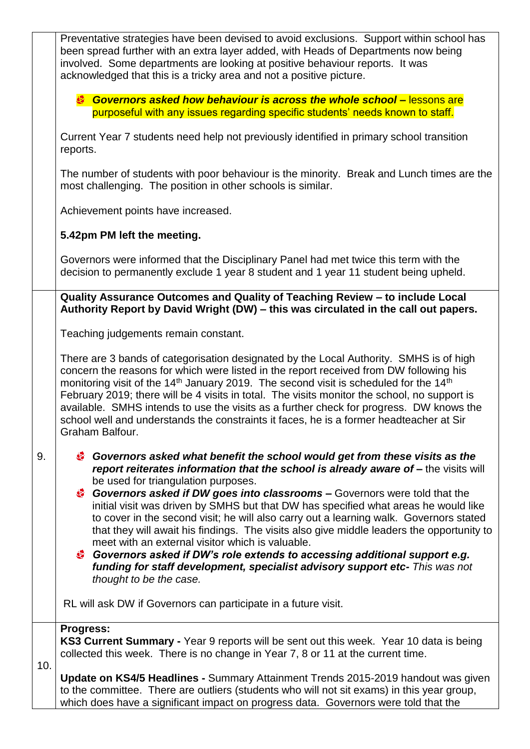|     | Preventative strategies have been devised to avoid exclusions. Support within school has<br>been spread further with an extra layer added, with Heads of Departments now being<br>involved. Some departments are looking at positive behaviour reports. It was<br>acknowledged that this is a tricky area and not a positive picture.                                                                                                                                                                                                                                                                                                                                                                                                                                                                                                                                                          |  |  |  |
|-----|------------------------------------------------------------------------------------------------------------------------------------------------------------------------------------------------------------------------------------------------------------------------------------------------------------------------------------------------------------------------------------------------------------------------------------------------------------------------------------------------------------------------------------------------------------------------------------------------------------------------------------------------------------------------------------------------------------------------------------------------------------------------------------------------------------------------------------------------------------------------------------------------|--|--|--|
|     | <b>Covernors asked how behaviour is across the whole school - lessons are</b><br>purposeful with any issues regarding specific students' needs known to staff.                                                                                                                                                                                                                                                                                                                                                                                                                                                                                                                                                                                                                                                                                                                                 |  |  |  |
|     | Current Year 7 students need help not previously identified in primary school transition<br>reports.                                                                                                                                                                                                                                                                                                                                                                                                                                                                                                                                                                                                                                                                                                                                                                                           |  |  |  |
|     | The number of students with poor behaviour is the minority. Break and Lunch times are the<br>most challenging. The position in other schools is similar.                                                                                                                                                                                                                                                                                                                                                                                                                                                                                                                                                                                                                                                                                                                                       |  |  |  |
|     | Achievement points have increased.                                                                                                                                                                                                                                                                                                                                                                                                                                                                                                                                                                                                                                                                                                                                                                                                                                                             |  |  |  |
|     | 5.42pm PM left the meeting.                                                                                                                                                                                                                                                                                                                                                                                                                                                                                                                                                                                                                                                                                                                                                                                                                                                                    |  |  |  |
|     | Governors were informed that the Disciplinary Panel had met twice this term with the<br>decision to permanently exclude 1 year 8 student and 1 year 11 student being upheld.                                                                                                                                                                                                                                                                                                                                                                                                                                                                                                                                                                                                                                                                                                                   |  |  |  |
|     | Quality Assurance Outcomes and Quality of Teaching Review - to include Local<br>Authority Report by David Wright (DW) - this was circulated in the call out papers.                                                                                                                                                                                                                                                                                                                                                                                                                                                                                                                                                                                                                                                                                                                            |  |  |  |
|     | Teaching judgements remain constant.                                                                                                                                                                                                                                                                                                                                                                                                                                                                                                                                                                                                                                                                                                                                                                                                                                                           |  |  |  |
|     | There are 3 bands of categorisation designated by the Local Authority. SMHS is of high<br>concern the reasons for which were listed in the report received from DW following his<br>monitoring visit of the 14 <sup>th</sup> January 2019. The second visit is scheduled for the 14 <sup>th</sup><br>February 2019; there will be 4 visits in total. The visits monitor the school, no support is<br>available. SMHS intends to use the visits as a further check for progress. DW knows the<br>school well and understands the constraints it faces, he is a former headteacher at Sir<br>Graham Balfour.                                                                                                                                                                                                                                                                                     |  |  |  |
| 9.  | Governors asked what benefit the school would get from these visits as the<br>report reiterates information that the school is already aware of - the visits will<br>be used for triangulation purposes.<br>Governors asked if DW goes into classrooms - Governors were told that the<br>initial visit was driven by SMHS but that DW has specified what areas he would like<br>to cover in the second visit; he will also carry out a learning walk. Governors stated<br>that they will await his findings. The visits also give middle leaders the opportunity to<br>meet with an external visitor which is valuable.<br><sup>3</sup> Governors asked if DW's role extends to accessing additional support e.g.<br>funding for staff development, specialist advisory support etc- This was not<br>thought to be the case.<br>RL will ask DW if Governors can participate in a future visit. |  |  |  |
|     | Progress:                                                                                                                                                                                                                                                                                                                                                                                                                                                                                                                                                                                                                                                                                                                                                                                                                                                                                      |  |  |  |
| 10. | KS3 Current Summary - Year 9 reports will be sent out this week. Year 10 data is being<br>collected this week. There is no change in Year 7, 8 or 11 at the current time.                                                                                                                                                                                                                                                                                                                                                                                                                                                                                                                                                                                                                                                                                                                      |  |  |  |
|     | Update on KS4/5 Headlines - Summary Attainment Trends 2015-2019 handout was given<br>to the committee. There are outliers (students who will not sit exams) in this year group,<br>which does have a significant impact on progress data. Governors were told that the                                                                                                                                                                                                                                                                                                                                                                                                                                                                                                                                                                                                                         |  |  |  |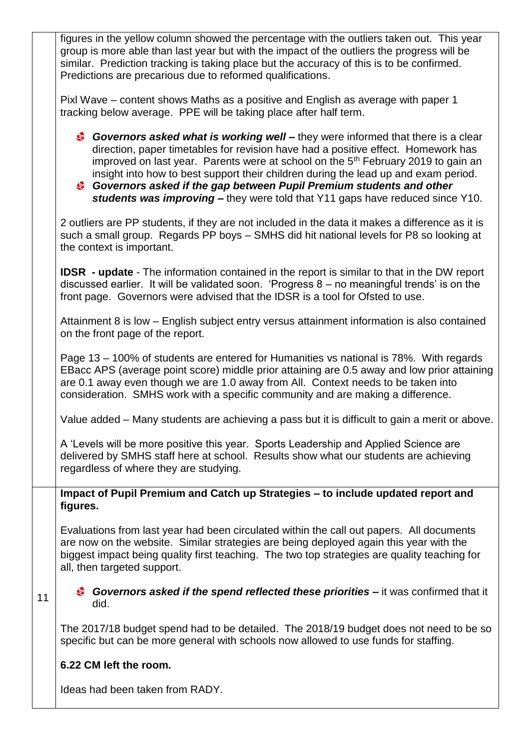|    | figures in the yellow column showed the percentage with the outliers taken out. This year<br>group is more able than last year but with the impact of the outliers the progress will be<br>similar. Prediction tracking is taking place but the accuracy of this is to be confirmed.<br>Predictions are precarious due to reformed qualifications.                                                                                                                                                                                |  |  |
|----|-----------------------------------------------------------------------------------------------------------------------------------------------------------------------------------------------------------------------------------------------------------------------------------------------------------------------------------------------------------------------------------------------------------------------------------------------------------------------------------------------------------------------------------|--|--|
|    | Pixl Wave – content shows Maths as a positive and English as average with paper 1<br>tracking below average. PPE will be taking place after half term.                                                                                                                                                                                                                                                                                                                                                                            |  |  |
|    | Governors asked what is working well – they were informed that there is a clear<br>direction, paper timetables for revision have had a positive effect. Homework has<br>improved on last year. Parents were at school on the 5 <sup>th</sup> February 2019 to gain an<br>insight into how to best support their children during the lead up and exam period.<br><sup>3</sup> Governors asked if the gap between Pupil Premium students and other<br>students was improving - they were told that Y11 gaps have reduced since Y10. |  |  |
|    | 2 outliers are PP students, if they are not included in the data it makes a difference as it is<br>such a small group. Regards PP boys - SMHS did hit national levels for P8 so looking at<br>the context is important.                                                                                                                                                                                                                                                                                                           |  |  |
|    | <b>IDSR</b> - update - The information contained in the report is similar to that in the DW report<br>discussed earlier. It will be validated soon. 'Progress $8 -$ no meaningful trends' is on the<br>front page. Governors were advised that the IDSR is a tool for Ofsted to use.                                                                                                                                                                                                                                              |  |  |
|    | Attainment 8 is low – English subject entry versus attainment information is also contained<br>on the front page of the report.                                                                                                                                                                                                                                                                                                                                                                                                   |  |  |
|    | Page 13 – 100% of students are entered for Humanities vs national is 78%. With regards<br>EBacc APS (average point score) middle prior attaining are 0.5 away and low prior attaining<br>are 0.1 away even though we are 1.0 away from All. Context needs to be taken into<br>consideration. SMHS work with a specific community and are making a difference.                                                                                                                                                                     |  |  |
|    | Value added – Many students are achieving a pass but it is difficult to gain a merit or above.                                                                                                                                                                                                                                                                                                                                                                                                                                    |  |  |
|    | A 'Levels will be more positive this year. Sports Leadership and Applied Science are<br>delivered by SMHS staff here at school. Results show what our students are achieving<br>regardless of where they are studying.                                                                                                                                                                                                                                                                                                            |  |  |
|    | Impact of Pupil Premium and Catch up Strategies - to include updated report and<br>figures.                                                                                                                                                                                                                                                                                                                                                                                                                                       |  |  |
|    | Evaluations from last year had been circulated within the call out papers. All documents<br>are now on the website. Similar strategies are being deployed again this year with the<br>biggest impact being quality first teaching. The two top strategies are quality teaching for<br>all, then targeted support.                                                                                                                                                                                                                 |  |  |
| 11 | <b>Governors asked if the spend reflected these priorities –</b> it was confirmed that it<br>did.                                                                                                                                                                                                                                                                                                                                                                                                                                 |  |  |
|    | The 2017/18 budget spend had to be detailed. The 2018/19 budget does not need to be so<br>specific but can be more general with schools now allowed to use funds for staffing.                                                                                                                                                                                                                                                                                                                                                    |  |  |
|    | 6.22 CM left the room.                                                                                                                                                                                                                                                                                                                                                                                                                                                                                                            |  |  |
|    | Ideas had been taken from RADY.                                                                                                                                                                                                                                                                                                                                                                                                                                                                                                   |  |  |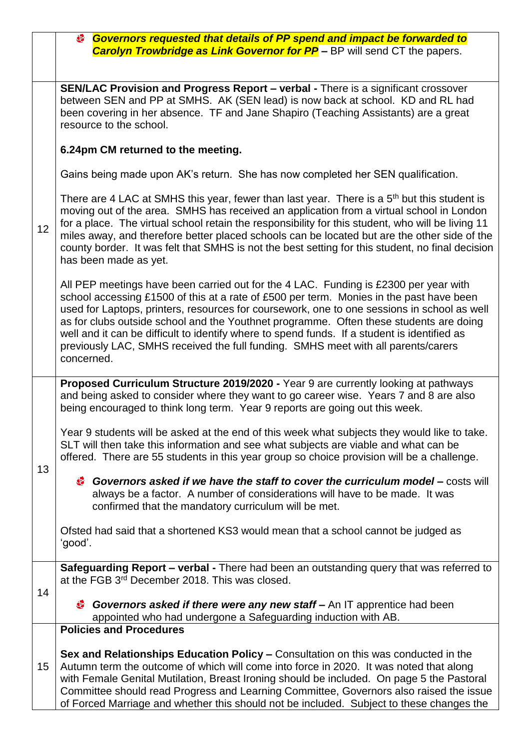|    | <b>Sovernors requested that details of PP spend and impact be forwarded to</b><br><b>Carolyn Trowbridge as Link Governor for PP</b> – BP will send CT the papers.                                                                                                                                                                                                                                                                                                                                                                                                           |  |  |
|----|-----------------------------------------------------------------------------------------------------------------------------------------------------------------------------------------------------------------------------------------------------------------------------------------------------------------------------------------------------------------------------------------------------------------------------------------------------------------------------------------------------------------------------------------------------------------------------|--|--|
|    | <b>SEN/LAC Provision and Progress Report - verbal - There is a significant crossover</b><br>between SEN and PP at SMHS. AK (SEN lead) is now back at school. KD and RL had<br>been covering in her absence. TF and Jane Shapiro (Teaching Assistants) are a great<br>resource to the school.                                                                                                                                                                                                                                                                                |  |  |
|    | 6.24pm CM returned to the meeting.                                                                                                                                                                                                                                                                                                                                                                                                                                                                                                                                          |  |  |
| 12 | Gains being made upon AK's return. She has now completed her SEN qualification.                                                                                                                                                                                                                                                                                                                                                                                                                                                                                             |  |  |
|    | There are 4 LAC at SMHS this year, fewer than last year. There is a $5th$ but this student is<br>moving out of the area. SMHS has received an application from a virtual school in London<br>for a place. The virtual school retain the responsibility for this student, who will be living 11<br>miles away, and therefore better placed schools can be located but are the other side of the<br>county border. It was felt that SMHS is not the best setting for this student, no final decision<br>has been made as yet.                                                 |  |  |
|    | All PEP meetings have been carried out for the 4 LAC. Funding is £2300 per year with<br>school accessing £1500 of this at a rate of £500 per term. Monies in the past have been<br>used for Laptops, printers, resources for coursework, one to one sessions in school as well<br>as for clubs outside school and the Youthnet programme. Often these students are doing<br>well and it can be difficult to identify where to spend funds. If a student is identified as<br>previously LAC, SMHS received the full funding. SMHS meet with all parents/carers<br>concerned. |  |  |
|    | Proposed Curriculum Structure 2019/2020 - Year 9 are currently looking at pathways                                                                                                                                                                                                                                                                                                                                                                                                                                                                                          |  |  |
|    | and being asked to consider where they want to go career wise. Years 7 and 8 are also<br>being encouraged to think long term. Year 9 reports are going out this week.                                                                                                                                                                                                                                                                                                                                                                                                       |  |  |
| 13 | Year 9 students will be asked at the end of this week what subjects they would like to take.<br>SLT will then take this information and see what subjects are viable and what can be<br>offered. There are 55 students in this year group so choice provision will be a challenge.                                                                                                                                                                                                                                                                                          |  |  |
|    | Governors asked if we have the staff to cover the curriculum model – costs will<br>always be a factor. A number of considerations will have to be made. It was<br>confirmed that the mandatory curriculum will be met.                                                                                                                                                                                                                                                                                                                                                      |  |  |
|    | Ofsted had said that a shortened KS3 would mean that a school cannot be judged as<br>'good'.                                                                                                                                                                                                                                                                                                                                                                                                                                                                                |  |  |
| 14 | Safeguarding Report - verbal - There had been an outstanding query that was referred to<br>at the FGB 3rd December 2018. This was closed.                                                                                                                                                                                                                                                                                                                                                                                                                                   |  |  |
|    | Governors asked if there were any new staff – An IT apprentice had been<br>appointed who had undergone a Safeguarding induction with AB.                                                                                                                                                                                                                                                                                                                                                                                                                                    |  |  |
|    | <b>Policies and Procedures</b>                                                                                                                                                                                                                                                                                                                                                                                                                                                                                                                                              |  |  |
| 15 | Sex and Relationships Education Policy – Consultation on this was conducted in the<br>Autumn term the outcome of which will come into force in 2020. It was noted that along<br>with Female Genital Mutilation, Breast Ironing should be included. On page 5 the Pastoral<br>Committee should read Progress and Learning Committee, Governors also raised the issue<br>of Forced Marriage and whether this should not be included. Subject to these changes the                                                                                                             |  |  |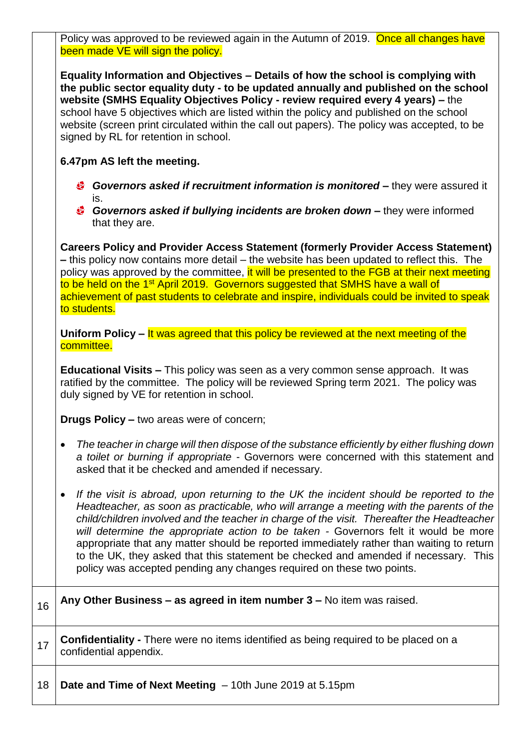Policy was approved to be reviewed again in the Autumn of 2019. Once all changes have been made VE will sign the policy.

**Equality Information and Objectives – Details of how the school is complying with the public sector equality duty - to be updated annually and published on the school website (SMHS Equality Objectives Policy - review required every 4 years) –** the school have 5 objectives which are listed within the policy and published on the school website (screen print circulated within the call out papers). The policy was accepted, to be signed by RL for retention in school.

#### **6.47pm AS left the meeting.**

- *Governors asked if recruitment information is monitored –* they were assured it is.
- *Governors asked if bullying incidents are broken down –* they were informed that they are.

**Careers Policy and Provider Access Statement (formerly Provider Access Statement) –** this policy now contains more detail – the website has been updated to reflect this. The policy was approved by the committee, it will be presented to the FGB at their next meeting to be held on the 1<sup>st</sup> April 2019. Governors suggested that SMHS have a wall of achievement of past students to celebrate and inspire, individuals could be invited to speak to students.

**Uniform Policy –** It was agreed that this policy be reviewed at the next meeting of the committee.

**Educational Visits –** This policy was seen as a very common sense approach. It was ratified by the committee. The policy will be reviewed Spring term 2021. The policy was duly signed by VE for retention in school.

**Drugs Policy –** two areas were of concern;

- *The teacher in charge will then dispose of the substance efficiently by either flushing down a toilet or burning if appropriate* - Governors were concerned with this statement and asked that it be checked and amended if necessary.
- *If the visit is abroad, upon returning to the UK the incident should be reported to the Headteacher, as soon as practicable, who will arrange a meeting with the parents of the child/children involved and the teacher in charge of the visit. Thereafter the Headteacher will determine the appropriate action to be taken -* Governors felt it would be more appropriate that any matter should be reported immediately rather than waiting to return to the UK, they asked that this statement be checked and amended if necessary. This policy was accepted pending any changes required on these two points.

| 16 | Any Other Business – as agreed in item number 3 – No item was raised.                                                 |
|----|-----------------------------------------------------------------------------------------------------------------------|
| 17 | <b>Confidentiality - There were no items identified as being required to be placed on a</b><br>confidential appendix. |
| 18 | Date and Time of Next Meeting - 10th June 2019 at 5.15pm                                                              |